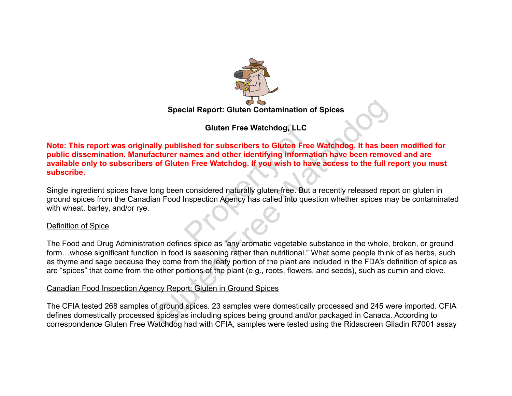

**Gluten Free Watchdog, LLC**

**Note: This report was originally published for subscribers to Gluten Free Watchdog. It has been modified for public dissemination. Manufacturer names and other identifying information have been removed and are available only to subscribers of Gluten Free Watchdog. If you wish to have access to the full report you must subscribe.** Gluten Free Watchdog, LLC<br>shed for subscribers to Gluten Free<br>ames and other identifying informa<br>in Free Watchdog. If you wish to have<br>considered naturally gluten-free. But a<br>inspection Agency has called into ques<br>es spice Special Report: Gluten Contamination of Spices<br>
Gluten Free Watchdog, LLC<br>
Illy published for subscribers to Gluten Free Watchdog. It has been<br>
of Gluten Free Watchdog. If you wish to have access to the full r<br>
ong been co

Single ingredient spices have long been considered naturally gluten-free. But a recently released report on gluten in ground spices from the Canadian Food Inspection Agency has called into question whether spices may be contaminated with wheat, barley, and/or rye.

#### Definition of Spice

The Food and Drug Administration defines spice as "any aromatic vegetable substance in the whole, broken, or ground form…whose significant function in food is seasoning rather than nutritional." What some people think of as herbs, such as thyme and sage because they come from the leafy portion of the plant are included in the FDA's definition of spice as are "spices" that come from the other portions of the plant (e.g., roots, flowers, and seeds), such as cumin and clove.

#### Canadian Food Inspection Agency Report: Gluten in Ground Spices

The CFIA tested 268 samples of ground spices. 23 samples were domestically processed and 245 were imported. CFIA defines domestically processed spices as including spices being ground and/or packaged in Canada. According to correspondence Gluten Free Watchdog had with CFIA, samples were tested using the Ridascreen Gliadin R7001 assay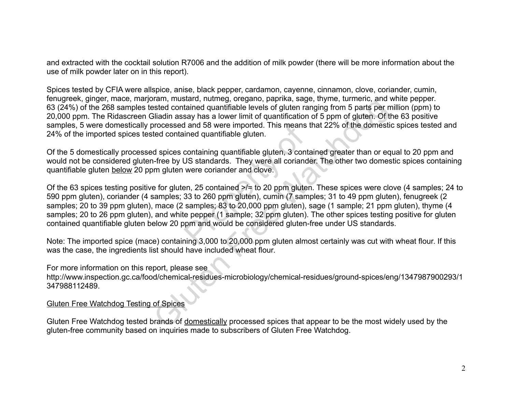and extracted with the cocktail solution R7006 and the addition of milk powder (there will be more information about the use of milk powder later on in this report).

Spices tested by CFIA were allspice, anise, black pepper, cardamon, cayenne, cinnamon, clove, coriander, cumin, fenugreek, ginger, mace, marjoram, mustard, nutmeg, oregano, paprika, sage, thyme, turmeric, and white pepper. 63 (24%) of the 268 samples tested contained quantifiable levels of gluten ranging from 5 parts per million (ppm) to 20,000 ppm. The Ridascreen Gliadin assay has a lower limit of quantification of 5 ppm of gluten. Of the 63 positive samples, 5 were domestically processed and 58 were imported. This means that 22% of the domestic spices tested and 24% of the imported spices tested contained quantifiable gluten.

Of the 5 domestically processed spices containing quantifiable gluten, 3 contained greater than or equal to 20 ppm and would not be considered gluten-free by US standards. They were all coriander. The other two domestic spices containing quantifiable gluten below 20 ppm gluten were coriander and clove.

Of the 63 spices testing positive for gluten, 25 contained >/= to 20 ppm gluten. These spices were clove (4 samples; 24 to 590 ppm gluten), coriander (4 samples; 33 to 260 ppm gluten), cumin (7 samples; 31 to 49 ppm gluten), fenugreek (2 samples; 20 to 39 ppm gluten), mace (2 samples; 83 to 20,000 ppm gluten), sage (1 sample; 21 ppm gluten), thyme (4 samples; 20 to 26 ppm gluten), and white pepper (1 sample; 32 ppm gluten). The other spices testing positive for gluten contained quantifiable gluten below 20 ppm and would be considered gluten-free under US standards. I and 58 were imported. This means the<br>ined quantifiable gluten.<br>containing quantifiable gluten, 3 conta<br>JS standards. They were all coriande<br>were coriander and clove.<br>P. 25 contained >/= to 20 ppm gluten.<br>33 to 260 ppm gl man, musual, nuturity, oregano, pepinal, sage, *ingrinia, sage*, in the presented contained quantifiable levels of gluten ranging from 5 parts per miliadin assay has a lower limit of quantification of 5 ppm of gluten. Of t

Note: The imported spice (mace) containing 3,000 to 20,000 ppm gluten almost certainly was cut with wheat flour. If this was the case, the ingredients list should have included wheat flour.

For more information on this report, please see

http://www.inspection.gc.ca/food/chemical-residues-microbiology/chemical-residues/ground-spices/eng/1347987900293/1 347988112489.

#### Gluten Free Watchdog Testing of Spices

Gluten Free Watchdog tested brands of domestically processed spices that appear to be the most widely used by the gluten-free community based on inquiries made to subscribers of Gluten Free Watchdog.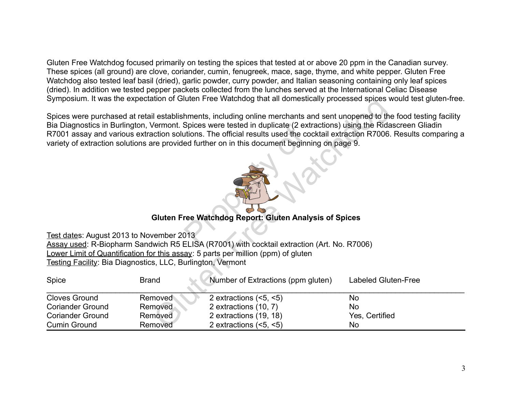Gluten Free Watchdog focused primarily on testing the spices that tested at or above 20 ppm in the Canadian survey. These spices (all ground) are clove, coriander, cumin, fenugreek, mace, sage, thyme, and white pepper. Gluten Free Watchdog also tested leaf basil (dried), garlic powder, curry powder, and Italian seasoning containing only leaf spices (dried). In addition we tested pepper packets collected from the lunches served at the International Celiac Disease Symposium. It was the expectation of Gluten Free Watchdog that all domestically processed spices would test gluten-free.



# **Gluten Free Watchdog Report: Gluten Analysis of Spices**

|                                                             |              | Oymposium. It was the expectation or Oluten i Tee Vratendog that all domestically processed spices would test gluten-liec.                                                                                                                                                                                                                                                                                                                                                       |                     |
|-------------------------------------------------------------|--------------|----------------------------------------------------------------------------------------------------------------------------------------------------------------------------------------------------------------------------------------------------------------------------------------------------------------------------------------------------------------------------------------------------------------------------------------------------------------------------------|---------------------|
|                                                             |              | Spices were purchased at retail establishments, including online merchants and sent unopened to the food testing facility<br>Bia Diagnostics in Burlington, Vermont. Spices were tested in duplicate (2 extractions) using the Ridascreen Gliadin<br>R7001 assay and various extraction solutions. The official results used the cocktail extraction R7006. Results comparing a<br>variety of extraction solutions are provided further on in this document beginning on page 9. |                     |
|                                                             |              | <b>Gluten Free Watchdog Report: Gluten Analysis of Spices</b>                                                                                                                                                                                                                                                                                                                                                                                                                    |                     |
|                                                             |              |                                                                                                                                                                                                                                                                                                                                                                                                                                                                                  |                     |
| Test dates: August 2013 to November 2013                    |              |                                                                                                                                                                                                                                                                                                                                                                                                                                                                                  |                     |
|                                                             |              | Assay used: R-Biopharm Sandwich R5 ELISA (R7001) with cocktail extraction (Art. No. R7006)<br>Lower Limit of Quantification for this assay: 5 parts per million (ppm) of gluten                                                                                                                                                                                                                                                                                                  |                     |
| Testing Facility: Bia Diagnostics, LLC, Burlington, Vermont |              |                                                                                                                                                                                                                                                                                                                                                                                                                                                                                  |                     |
|                                                             |              |                                                                                                                                                                                                                                                                                                                                                                                                                                                                                  |                     |
| Spice                                                       | <b>Brand</b> | Number of Extractions (ppm gluten)                                                                                                                                                                                                                                                                                                                                                                                                                                               | Labeled Gluten-Free |
| <b>Cloves Ground</b>                                        | Removed      | 2 extractions $(5, 5)$                                                                                                                                                                                                                                                                                                                                                                                                                                                           | <b>No</b>           |
| <b>Coriander Ground</b>                                     | Removed      | 2 extractions (10, 7)                                                                                                                                                                                                                                                                                                                                                                                                                                                            | <b>No</b>           |
| <b>Coriander Ground</b>                                     | Removed      | 2 extractions (19, 18)                                                                                                                                                                                                                                                                                                                                                                                                                                                           | Yes, Certified      |
| <b>Cumin Ground</b>                                         | Removed      | 2 extractions $(5, 5)$                                                                                                                                                                                                                                                                                                                                                                                                                                                           | No                  |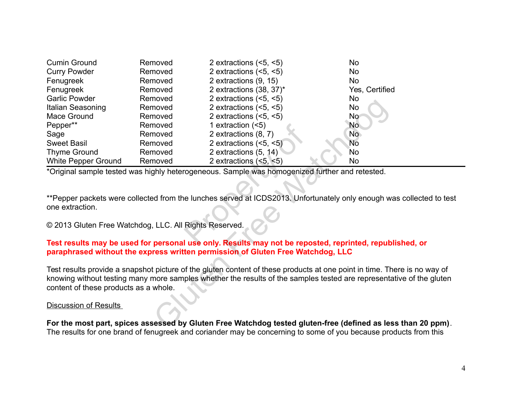| <b>Cumin Ground</b>                                                                                       | Removed | 2 extractions $(<5, <5)$                                                                           | No             |  |  |
|-----------------------------------------------------------------------------------------------------------|---------|----------------------------------------------------------------------------------------------------|----------------|--|--|
| <b>Curry Powder</b>                                                                                       | Removed | 2 extractions $(<5, <5)$                                                                           | No             |  |  |
| Fenugreek                                                                                                 | Removed | 2 extractions (9, 15)                                                                              | <b>No</b>      |  |  |
| Fenugreek                                                                                                 | Removed | 2 extractions (38, 37)*                                                                            | Yes, Certified |  |  |
| <b>Garlic Powder</b>                                                                                      | Removed | 2 extractions $(<5, <5)$                                                                           | No             |  |  |
| Italian Seasoning                                                                                         | Removed | 2 extractions $(<5, <5)$                                                                           | No             |  |  |
| Mace Ground                                                                                               | Removed | 2 extractions $(5, 5)$                                                                             | No             |  |  |
| Pepper**                                                                                                  | Removed | 1 extraction $(5)$                                                                                 | <b>No</b>      |  |  |
| Sage                                                                                                      | Removed | 2 extractions (8, 7)                                                                               | No.            |  |  |
| <b>Sweet Basil</b>                                                                                        | Removed | 2 extractions $(5, 5)$                                                                             | <b>No</b>      |  |  |
| <b>Thyme Ground</b>                                                                                       | Removed | 2 extractions (5, 14)                                                                              | No             |  |  |
| <b>White Pepper Ground</b>                                                                                | Removed | 2 extractions $(<5, <5)$                                                                           | No             |  |  |
|                                                                                                           |         | *Original sample tested was highly heterogeneous. Sample was homogenized further and retested.     |                |  |  |
|                                                                                                           |         |                                                                                                    |                |  |  |
|                                                                                                           |         |                                                                                                    |                |  |  |
|                                                                                                           |         | **Pepper packets were collected from the lunches served at ICDS2013. Unfortunately only enough was |                |  |  |
| one extraction.                                                                                           |         |                                                                                                    |                |  |  |
|                                                                                                           |         |                                                                                                    |                |  |  |
| © 2013 Gluten Free Watchdog, LLC. All Rights Reserved.                                                    |         |                                                                                                    |                |  |  |
|                                                                                                           |         |                                                                                                    |                |  |  |
|                                                                                                           |         | Test results may be used for personal use only. Results may not be reposted, reprinted, republi    |                |  |  |
|                                                                                                           |         | paraphrased without the express written permission of Gluten Free Watchdog, LLC                    |                |  |  |
|                                                                                                           |         |                                                                                                    |                |  |  |
| Test results provide a snapshot picture of the gluten content of these products at one point in time. The |         |                                                                                                    |                |  |  |
| knowing without testing many more samples whether the results of the samples tested are representat       |         |                                                                                                    |                |  |  |
| content of these products as a whole.                                                                     |         |                                                                                                    |                |  |  |
|                                                                                                           |         |                                                                                                    |                |  |  |
| <b>Discussion of Results</b>                                                                              |         |                                                                                                    |                |  |  |
|                                                                                                           |         |                                                                                                    |                |  |  |
| For the most part, spices assessed by Gluten Free Watchdog tested gluten-free (defined as less            |         |                                                                                                    |                |  |  |

\*\*Pepper packets were collected from the lunches served at ICDS2013. Unfortunately only enough was collected to test one extraction.

### **Test results may be used for personal use only. Results may not be reposted, reprinted, republished, or paraphrased without the express written permission of Gluten Free Watchdog, LLC**

Test results provide a snapshot picture of the gluten content of these products at one point in time. There is no way of knowing without testing many more samples whether the results of the samples tested are representative of the gluten content of these products as a whole.

#### Discussion of Results

**For the most part, spices assessed by Gluten Free Watchdog tested gluten-free (defined as less than 20 ppm)**. The results for one brand of fenugreek and coriander may be concerning to some of you because products from this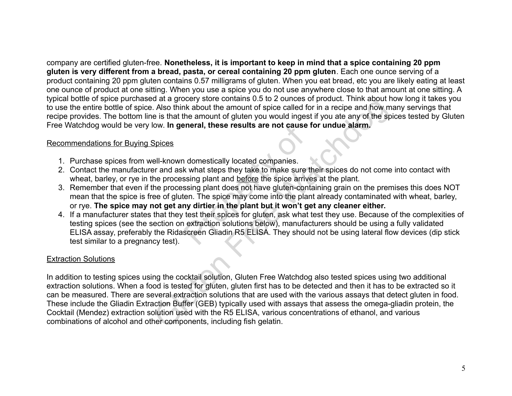company are certified gluten-free. **Nonetheless, it is important to keep in mind that a spice containing 20 ppm gluten is very different from a bread, pasta, or cereal containing 20 ppm gluten**. Each one ounce serving of a product containing 20 ppm gluten contains 0.57 milligrams of gluten. When you eat bread, etc you are likely eating at least one ounce of product at one sitting. When you use a spice you do not use anywhere close to that amount at one sitting. A typical bottle of spice purchased at a grocery store contains 0.5 to 2 ounces of product. Think about how long it takes you to use the entire bottle of spice. Also think about the amount of spice called for in a recipe and how many servings that recipe provides. The bottom line is that the amount of gluten you would ingest if you ate any of the spices tested by Gluten Free Watchdog would be very low. **In general, these results are not cause for undue alarm.**

#### Recommendations for Buying Spices

- 1. Purchase spices from well-known domestically located companies.
- 2. Contact the manufacturer and ask what steps they take to make sure their spices do not come into contact with wheat, barley, or rye in the processing plant and before the spice arrives at the plant.
- 3. Remember that even if the processing plant does not have gluten-containing grain on the premises this does NOT mean that the spice is free of gluten. The spice may come into the plant already contaminated with wheat, barley, or rye. **The spice may not get any dirtier in the plant but it won't get any cleaner either.**
- 4. If a manufacturer states that they test their spices for gluten, ask what test they use. Because of the complexities of testing spices (see the section on extraction solutions below), manufacturers should be using a fully validated ELISA assay, preferably the Ridascreen Gliadin R5 ELISA. They should not be using lateral flow devices (dip stick test similar to a pregnancy test). neral, these results are not cause for<br>all domestically located companies.<br>A what steps they take to make sure the<br>sing plant and <u>before</u> the spice arrive<br>sing plant does not have gluten-conta<br>en. The spice may come into

#### Extraction Solutions

In addition to testing spices using the cocktail solution, Gluten Free Watchdog also tested spices using two additional extraction solutions. When a food is tested for gluten, gluten first has to be detected and then it has to be extracted so it can be measured. There are several extraction solutions that are used with the various assays that detect gluten in food. These include the Gliadin Extraction Buffer (GEB) typically used with assays that assess the omega-gliadin protein, the Cocktail (Mendez) extraction solution used with the R5 ELISA, various concentrations of ethanol, and various combinations of alcohol and other components, including fish gelatin. of a myotoly solve comains of or *a concert and the system* and a system and product. Thim a social the amount of spice called for in a recipe and how m<br>e is that the amount of spice called for in a recipe and how m<br>ow. In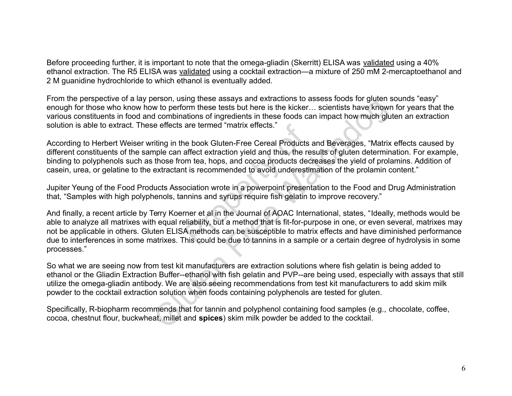Before proceeding further, it is important to note that the omega-gliadin (Skerritt) ELISA was validated using a 40% ethanol extraction. The R5 ELISA was validated using a cocktail extraction—a mixture of 250 mM 2-mercaptoethanol and 2 M guanidine hydrochloride to which ethanol is eventually added.

From the perspective of a lay person, using these assays and extractions to assess foods for gluten sounds "easy" enough for those who know how to perform these tests but here is the kicker… scientists have known for years that the various constituents in food and combinations of ingredients in these foods can impact how much gluten an extraction solution is able to extract. These effects are termed "matrix effects."

According to Herbert Weiser writing in the book Gluten-Free Cereal Products and Beverages, "Matrix effects caused by different constituents of the sample can affect extraction yield and thus, the results of gluten determination. For example, binding to polyphenols such as those from tea, hops, and cocoa products decreases the yield of prolamins. Addition of casein, urea, or gelatine to the extractant is recommended to avoid underestimation of the prolamin content."

Jupiter Yeung of the Food Products Association wrote in a powerpoint presentation to the Food and Drug Administration that, "Samples with high polyphenols, tannins and syrups require fish gelatin to improve recovery."

And finally, a recent article by Terry Koerner et al in the Journal of AOAC International, states, "Ideally, methods would be able to analyze all matrixes with equal reliability, but a method that is fit-for-purpose in one, or even several, matrixes may not be applicable in others. Gluten ELISA methods can be susceptible to matrix effects and have diminished performance due to interferences in some matrixes. This could be due to tannins in a sample or a certain degree of hydrolysis in some processes." are termed "matrix effects."<br>
ie book Gluten-Free Cereal Products a<br>
affect extraction yield and thus, the res<br>
in tea, hops, and cocoa products decr<br>
it is recommended to avoid underestin<br>
pociation wrote in a powerpoint Lessin, wang those assays and extractions to assass book on giventity of perform these tests but here is the kicker... scientists have known<br>to perform these tests but here is the kicker... scientists have known<br>d combinat

So what we are seeing now from test kit manufacturers are extraction solutions where fish gelatin is being added to ethanol or the Gliadin Extraction Buffer--ethanol with fish gelatin and PVP--are being used, especially with assays that still utilize the omega-gliadin antibody. We are also seeing recommendations from test kit manufacturers to add skim milk powder to the cocktail extraction solution when foods containing polyphenols are tested for gluten.

Specifically, R-biopharm recommends that for tannin and polyphenol containing food samples (e.g., chocolate, coffee, cocoa, chestnut flour, buckwheat, millet and **spices**) skim milk powder be added to the cocktail.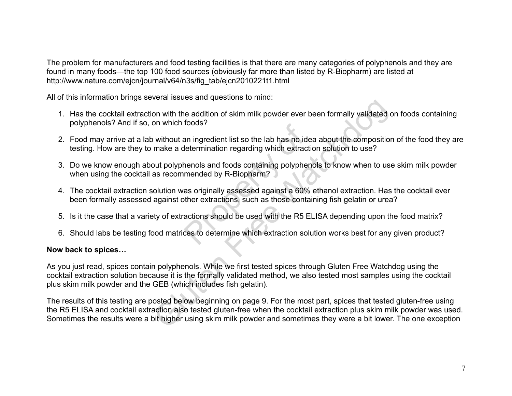The problem for manufacturers and food testing facilities is that there are many categories of polyphenols and they are found in many foods—the top 100 food sources (obviously far more than listed by R-Biopharm) are listed at http://www.nature.com/ejcn/journal/v64/n3s/fig\_tab/ejcn2010221t1.html

All of this information brings several issues and questions to mind:

- 1. Has the cocktail extraction with the addition of skim milk powder ever been formally validated on foods containing polyphenols? And if so, on which foods?
- 2. Food may arrive at a lab without an ingredient list so the lab has no idea about the composition of the food they are testing. How are they to make a determination regarding which extraction solution to use?
- 3. Do we know enough about polyphenols and foods containing polyphenols to know when to use skim milk powder when using the cocktail as recommended by R-Biopharm? noticials?<br>
In ingredient list so the lab has no idealer<br>
Intermination regarding which extraction<br>
Intermination regarding polyphenomended by R-Biopharm?<br>
Intermal as originally assessed against a 60% of<br>
Internations, su
- 4. The cocktail extraction solution was originally assessed against a 60% ethanol extraction. Has the cocktail ever been formally assessed against other extractions, such as those containing fish gelatin or urea?
- 5. Is it the case that a variety of extractions should be used with the R5 ELISA depending upon the food matrix?
- 6. Should labs be testing food matrices to determine which extraction solution works best for any given product?

### **Now back to spices…**

As you just read, spices contain polyphenols. While we first tested spices through Gluten Free Watchdog using the cocktail extraction solution because it is the formally validated method, we also tested most samples using the cocktail plus skim milk powder and the GEB (which includes fish gelatin). Free Matchmovidion of skim milk powder ever been formally validated on which foods?<br>
which foods?<br>
without an ingredient list so the lab has no idea about the composition<br>
make a determination regarding which extraction so

The results of this testing are posted below beginning on page 9. For the most part, spices that tested gluten-free using the R5 ELISA and cocktail extraction also tested gluten-free when the cocktail extraction plus skim milk powder was used. Sometimes the results were a bit higher using skim milk powder and sometimes they were a bit lower. The one exception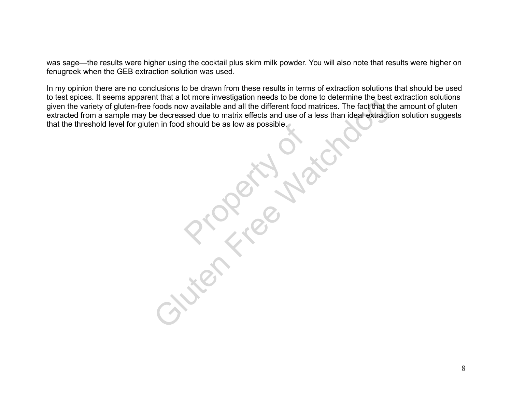was sage—the results were higher using the cocktail plus skim milk powder. You will also note that results were higher on fenugreek when the GEB extraction solution was used.

In my opinion there are no conclusions to be drawn from these results in terms of extraction solutions that should be used to test spices. It seems apparent that a lot more investigation needs to be done to determine the best extraction solutions given the variety of gluten-free foods now available and all the different food matrices. The fact that the amount of gluten extracted from a sample may be decreased due to matrix effects and use of a less than ideal extraction solution suggests that the threshold level for gluten in food should be as low as possible. **Product De as low as possible.** Free Marine The Fact that the different food matrices. The fact that the decreased due to matrix effects and use of a less than ideal extraction in food should be as low as possible.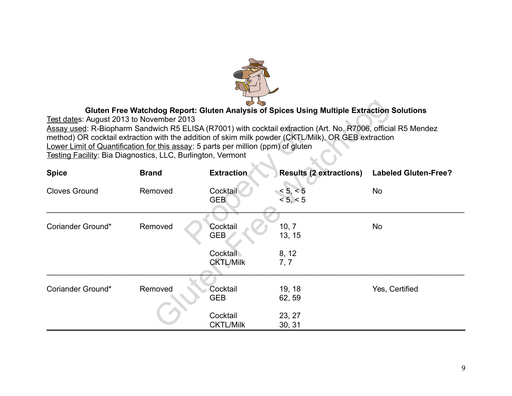

# **Gluten Free Watchdog Report: Gluten Analysis of Spices Using Multiple Extraction Solutions**

| Gluten Free Watchdog Report: Gluten Analysis of Spices Using Multiple Extraction Solutions                    |                                                                                   |                   |                                |                             |  |  |  |
|---------------------------------------------------------------------------------------------------------------|-----------------------------------------------------------------------------------|-------------------|--------------------------------|-----------------------------|--|--|--|
| Test dates: August 2013 to November 2013                                                                      |                                                                                   |                   |                                |                             |  |  |  |
| Assay used: R-Biopharm Sandwich R5 ELISA (R7001) with cocktail extraction (Art. No. R7006, official R5 Mendez |                                                                                   |                   |                                |                             |  |  |  |
| method) OR cocktail extraction with the addition of skim milk powder (CKTL/Milk), OR GEB extraction           |                                                                                   |                   |                                |                             |  |  |  |
|                                                                                                               | Lower Limit of Quantification for this assay: 5 parts per million (ppm) of gluten |                   |                                |                             |  |  |  |
| Testing Facility: Bia Diagnostics, LLC, Burlington, Vermont                                                   |                                                                                   |                   |                                |                             |  |  |  |
| <b>Spice</b>                                                                                                  | <b>Brand</b>                                                                      | <b>Extraction</b> | <b>Results (2 extractions)</b> | <b>Labeled Gluten-Free?</b> |  |  |  |
| <b>Cloves Ground</b>                                                                                          | Removed                                                                           | Cocktail          | < 5, < 5                       | <b>No</b>                   |  |  |  |
|                                                                                                               |                                                                                   | <b>GEB</b>        | < 5, < 5                       |                             |  |  |  |
|                                                                                                               |                                                                                   |                   |                                |                             |  |  |  |
| Coriander Ground*                                                                                             | Removed                                                                           | Cocktail          | 10, 7                          | No                          |  |  |  |
|                                                                                                               |                                                                                   | <b>GEB</b>        | 13, 15                         |                             |  |  |  |
|                                                                                                               |                                                                                   | <b>Cocktail</b>   | 8, 12                          |                             |  |  |  |
|                                                                                                               |                                                                                   | <b>CKTL/Milk</b>  | 7, 7                           |                             |  |  |  |
|                                                                                                               |                                                                                   |                   |                                |                             |  |  |  |
| Coriander Ground*                                                                                             | Removed                                                                           | Cocktail          | 19, 18                         | Yes, Certified              |  |  |  |
|                                                                                                               |                                                                                   | <b>GEB</b>        | 62, 59                         |                             |  |  |  |
|                                                                                                               |                                                                                   | Cocktail          | 23, 27                         |                             |  |  |  |
|                                                                                                               |                                                                                   | <b>CKTL/Milk</b>  | 30, 31                         |                             |  |  |  |
|                                                                                                               |                                                                                   |                   |                                |                             |  |  |  |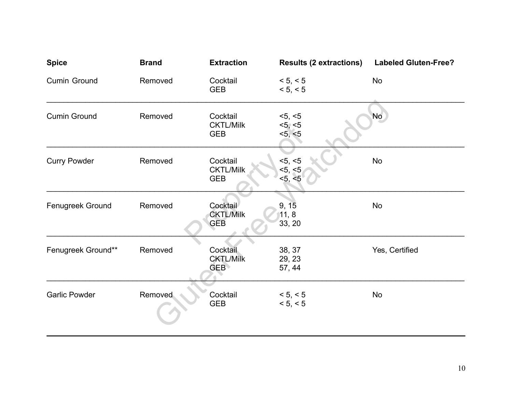| <b>Spice</b>         | <b>Brand</b> | <b>Extraction</b>                          | <b>Results (2 extractions)</b> | <b>Labeled Gluten-Free?</b> |
|----------------------|--------------|--------------------------------------------|--------------------------------|-----------------------------|
| Cumin Ground         | Removed      | Cocktail<br><b>GEB</b>                     | < 5, < 5<br>< 5, < 5           | <b>No</b>                   |
| <b>Cumin Ground</b>  | Removed      | Cocktail<br><b>CKTL/Milk</b><br><b>GEB</b> | <5, <5<br><5, <5<br><5, <5     | <b>No</b>                   |
| <b>Curry Powder</b>  | Removed      | Cocktail<br><b>CKTL/Milk</b><br><b>GEB</b> | <5, <5<br><5, <5<br>< 5, < 5   | <b>No</b>                   |
| Fenugreek Ground     | Removed      | Cocktail<br><b>CKTL/Milk</b><br><b>GEB</b> | 9, 15<br>11, 8<br>33, 20       | <b>No</b>                   |
| Fenugreek Ground**   | Removed      | Cocktail<br><b>CKTL/Milk</b><br><b>GEB</b> | 38, 37<br>29, 23<br>57, 44     | Yes, Certified              |
| <b>Garlic Powder</b> | Removed      | Cocktail<br><b>GEB</b>                     | < 5, < 5<br>< 5, < 5           | <b>No</b>                   |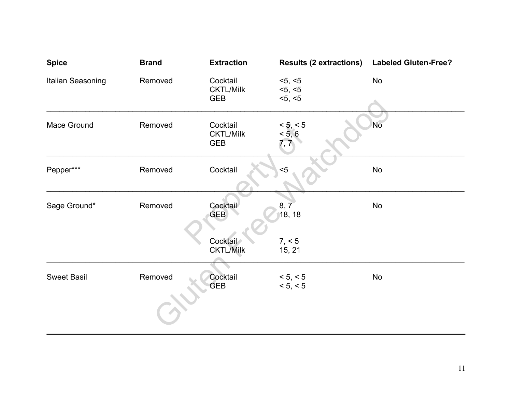| <b>Spice</b>       | <b>Brand</b> | <b>Extraction</b>                          | <b>Results (2 extractions)</b> | <b>Labeled Gluten-Free?</b> |
|--------------------|--------------|--------------------------------------------|--------------------------------|-----------------------------|
| Italian Seasoning  | Removed      | Cocktail<br><b>CKTL/Milk</b><br><b>GEB</b> | <5, <5<br><5, <5<br><5, <5     | <b>No</b>                   |
| Mace Ground        | Removed      | Cocktail<br><b>CKTL/Milk</b><br><b>GEB</b> | < 5, < 5<br>< 5, 6<br>7, 7     | <b>No</b>                   |
| Pepper***          | Removed      | Cocktail                                   | $5$                            | No                          |
| Sage Ground*       | Removed      | Cocktail<br>GEB                            | 8, 7<br>18, 18                 | No                          |
|                    |              | Cocktail<br><b>CKTL/Milk</b>               | 7, < 5<br>15, 21               |                             |
| <b>Sweet Basil</b> | Removed      | Cocktail<br><b>GEB</b>                     | < 5, < 5<br>< 5, < 5           | No                          |
|                    |              |                                            |                                |                             |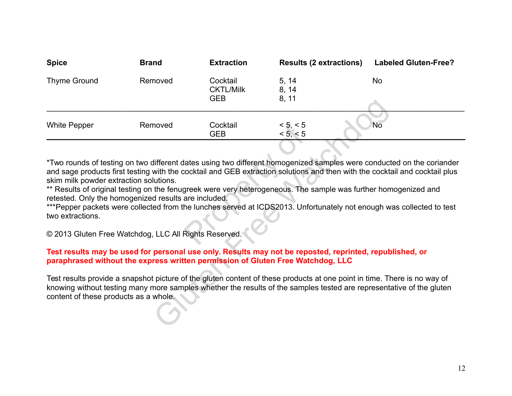| <b>Spice</b>                                                                                                                                                                                                                                                                                                                                                                                                                                                                                                                                                                                                                                                                   | <b>Brand</b> | <b>Extraction</b>                          | <b>Results (2 extractions)</b> | <b>Labeled Gluten-Free?</b> |  |  |
|--------------------------------------------------------------------------------------------------------------------------------------------------------------------------------------------------------------------------------------------------------------------------------------------------------------------------------------------------------------------------------------------------------------------------------------------------------------------------------------------------------------------------------------------------------------------------------------------------------------------------------------------------------------------------------|--------------|--------------------------------------------|--------------------------------|-----------------------------|--|--|
| <b>Thyme Ground</b>                                                                                                                                                                                                                                                                                                                                                                                                                                                                                                                                                                                                                                                            | Removed      | Cocktail<br><b>CKTL/Milk</b><br><b>GEB</b> | 5, 14<br>8, 14<br>8, 11        | <b>No</b>                   |  |  |
| <b>White Pepper</b>                                                                                                                                                                                                                                                                                                                                                                                                                                                                                                                                                                                                                                                            | Removed      | Cocktail<br><b>GEB</b>                     | < 5, < 5<br>< 5, < 5           | No                          |  |  |
| *Two rounds of testing on two different dates using two different homogenized samples were conducted on the coriander<br>and sage products first testing with the cocktail and GEB extraction solutions and then with the cocktail and cocktail plus<br>skim milk powder extraction solutions.<br>** Results of original testing on the fenugreek were very heterogeneous. The sample was further homogenized and<br>retested. Only the homogenized results are included.<br>***Pepper packets were collected from the lunches served at ICDS2013. Unfortunately not enough was collected to test<br>two extractions.<br>© 2013 Gluten Free Watchdog, LLC All Rights Reserved. |              |                                            |                                |                             |  |  |
| Test results may be used for personal use only. Results may not be reposted, reprinted, republished, or<br>paraphrased without the express written permission of Gluten Free Watchdog, LLC                                                                                                                                                                                                                                                                                                                                                                                                                                                                                     |              |                                            |                                |                             |  |  |
| Test results provide a snapshot picture of the gluten content of these products at one point in time. There is no way of<br>knowing without testing many more samples whether the results of the samples tested are representative of the gluten<br>content of these products as a whole.                                                                                                                                                                                                                                                                                                                                                                                      |              |                                            |                                |                             |  |  |

#### **Test results may be used for personal use only. Results may not be reposted, reprinted, republished, or paraphrased without the express written permission of Gluten Free Watchdog, LLC**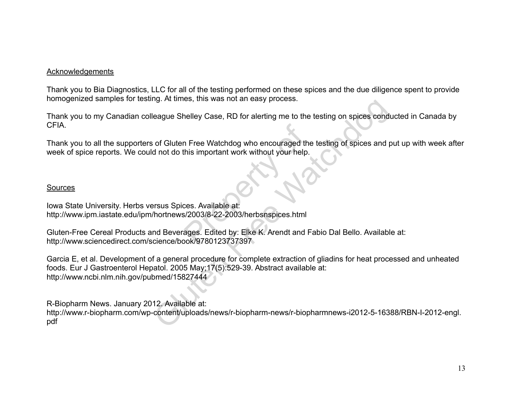#### Acknowledgements

Thank you to Bia Diagnostics, LLC for all of the testing performed on these spices and the due diligence spent to provide homogenized samples for testing. At times, this was not an easy process.

Thank you to my Canadian colleague Shelley Case, RD for alerting me to the testing on spices conducted in Canada by CFIA.

Thank you to all the supporters of Gluten Free Watchdog who encouraged the testing of spices and put up with week after week of spice reports. We could not do this important work without your help. Pree Watchdog who encouraged the<br>
his important work without your help.<br>
Ses. Available at:<br>
Preses. Edited by: Elke K. Arendt and Fa<br>
Preses. Edited by: Elke K. Arendt and Fa<br>
Preses. Edited by: Elke K. Arendt and Fa

#### **Sources**

Iowa State University. Herbs versus Spices. Available at: http://www.ipm.iastate.edu/ipm/hortnews/2003/8-22-2003/herbsnspices.html

Gluten-Free Cereal Products and Beverages. Edited by: Elke K. Arendt and Fabio Dal Bello. Available at: http://www.sciencedirect.com/science/book/9780123737397

Garcia E, et al. Development of a general procedure for complete extraction of gliadins for heat processed and unheated foods. Eur J Gastroenterol Hepatol. 2005 May;17(5):529-39. Abstract available at: http://www.ncbi.nlm.nih.gov/pubmed/15827444 rg. At ames, ans was not an easy process.<br>
eague Shelley Case, RD for alerting me to the testing on spices condition<br>
of Gluten Free Watchdog who encouraged the testing of spices and p<br>
and not do this important work witho

R-Biopharm News. January 2012. Available at:

http://www.r-biopharm.com/wp-content/uploads/news/r-biopharm-news/r-biopharmnews-i2012-5-16388/RBN-I-2012-engl. pdf